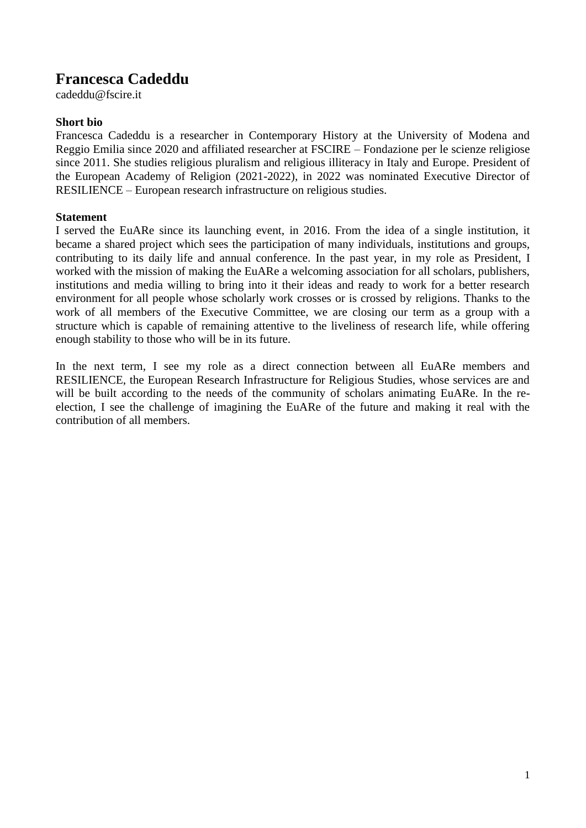# **Francesca Cadeddu**

cadeddu@fscire.it

# **Short bio**

Francesca Cadeddu is a researcher in Contemporary History at the University of Modena and Reggio Emilia since 2020 and affiliated researcher at FSCIRE – Fondazione per le scienze religiose since 2011. She studies religious pluralism and religious illiteracy in Italy and Europe. President of the European Academy of Religion (2021-2022), in 2022 was nominated Executive Director of RESILIENCE – European research infrastructure on religious studies.

## **Statement**

I served the EuARe since its launching event, in 2016. From the idea of a single institution, it became a shared project which sees the participation of many individuals, institutions and groups, contributing to its daily life and annual conference. In the past year, in my role as President, I worked with the mission of making the EuARe a welcoming association for all scholars, publishers, institutions and media willing to bring into it their ideas and ready to work for a better research environment for all people whose scholarly work crosses or is crossed by religions. Thanks to the work of all members of the Executive Committee, we are closing our term as a group with a structure which is capable of remaining attentive to the liveliness of research life, while offering enough stability to those who will be in its future.

In the next term, I see my role as a direct connection between all EuARe members and RESILIENCE, the European Research Infrastructure for Religious Studies, whose services are and will be built according to the needs of the community of scholars animating EuARe. In the reelection, I see the challenge of imagining the EuARe of the future and making it real with the contribution of all members.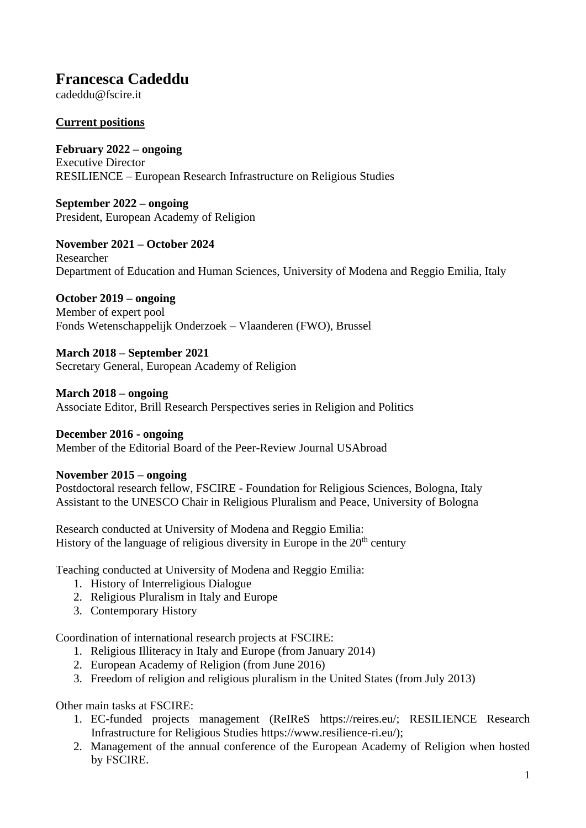# **Francesca Cadeddu**

cadeddu@fscire.it

# **Current positions**

**February 2022 – ongoing** Executive Director RESILIENCE – European Research Infrastructure on Religious Studies

**September 2022 – ongoing** President, European Academy of Religion

**November 2021 – October 2024** Researcher Department of Education and Human Sciences, University of Modena and Reggio Emilia, Italy

## **October 2019 – ongoing**

Member of expert pool Fonds Wetenschappelijk Onderzoek – Vlaanderen (FWO), Brussel

## **March 2018 – September 2021**

Secretary General, European Academy of Religion

## **March 2018 – ongoing**

Associate Editor, Brill Research Perspectives series in Religion and Politics

## **December 2016 - ongoing**

Member of the Editorial Board of the Peer-Review Journal USAbroad

## **November 2015 – ongoing**

Postdoctoral research fellow, FSCIRE - Foundation for Religious Sciences, Bologna, Italy Assistant to the UNESCO Chair in Religious Pluralism and Peace, University of Bologna

Research conducted at University of Modena and Reggio Emilia: History of the language of religious diversity in Europe in the  $20<sup>th</sup>$  century

Teaching conducted at University of Modena and Reggio Emilia:

- 1. History of Interreligious Dialogue
- 2. Religious Pluralism in Italy and Europe
- 3. Contemporary History

Coordination of international research projects at FSCIRE:

- 1. Religious Illiteracy in Italy and Europe (from January 2014)
- 2. European Academy of Religion (from June 2016)
- 3. Freedom of religion and religious pluralism in the United States (from July 2013)

Other main tasks at FSCIRE:

- 1. EC-funded projects management (ReIReS https://reires.eu/; RESILIENCE Research Infrastructure for Religious Studies https://www.resilience-ri.eu/);
- 2. Management of the annual conference of the European Academy of Religion when hosted by FSCIRE.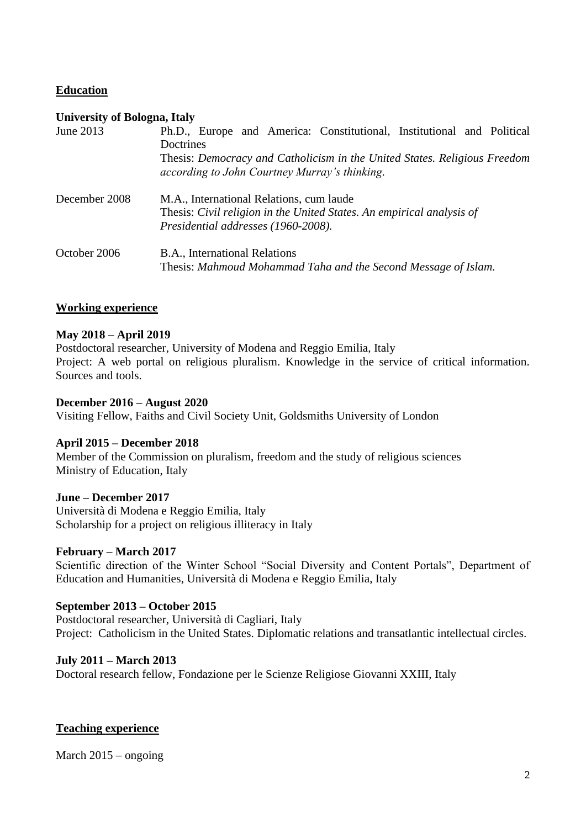## **Education**

### **University of Bologna, Italy**

| June 2013     | Ph.D., Europe and America: Constitutional, Institutional and Political<br>Doctrines                                                                      |
|---------------|----------------------------------------------------------------------------------------------------------------------------------------------------------|
|               | Thesis: Democracy and Catholicism in the United States. Religious Freedom<br>according to John Courtney Murray's thinking.                               |
| December 2008 | M.A., International Relations, cum laude<br>Thesis: Civil religion in the United States. An empirical analysis of<br>Presidential addresses (1960-2008). |
| October 2006  | B.A., International Relations<br>Thesis: Mahmoud Mohammad Taha and the Second Message of Islam.                                                          |

## **Working experience**

#### **May 2018 – April 2019**

Postdoctoral researcher, University of Modena and Reggio Emilia, Italy Project: A web portal on religious pluralism. Knowledge in the service of critical information. Sources and tools.

### **December 2016 – August 2020**

Visiting Fellow, Faiths and Civil Society Unit, Goldsmiths University of London

#### **April 2015 – December 2018**

Member of the Commission on pluralism, freedom and the study of religious sciences Ministry of Education, Italy

#### **June – December 2017**

Università di Modena e Reggio Emilia, Italy Scholarship for a project on religious illiteracy in Italy

#### **February – March 2017**

Scientific direction of the Winter School "Social Diversity and Content Portals", Department of Education and Humanities, Università di Modena e Reggio Emilia, Italy

#### **September 2013 – October 2015**

Postdoctoral researcher, Università di Cagliari, Italy Project: Catholicism in the United States. Diplomatic relations and transatlantic intellectual circles.

#### **July 2011 – March 2013**

Doctoral research fellow, Fondazione per le Scienze Religiose Giovanni XXIII, Italy

#### **Teaching experience**

March 2015 – ongoing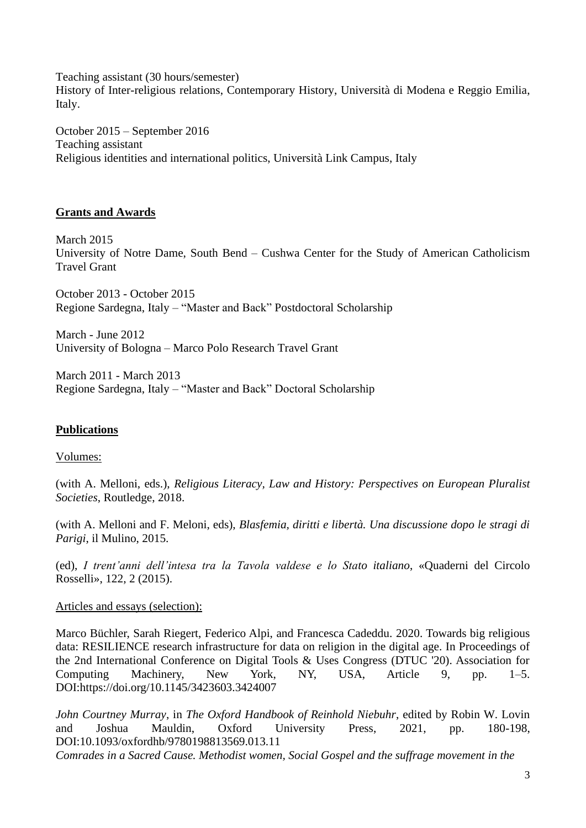Teaching assistant (30 hours/semester) History of Inter-religious relations, Contemporary History, Università di Modena e Reggio Emilia, Italy.

October 2015 – September 2016 Teaching assistant Religious identities and international politics, Università Link Campus, Italy

# **Grants and Awards**

March 2015 University of Notre Dame, South Bend – Cushwa Center for the Study of American Catholicism Travel Grant

October 2013 - October 2015 Regione Sardegna, Italy – "Master and Back" Postdoctoral Scholarship

March - June 2012 University of Bologna – Marco Polo Research Travel Grant

March 2011 - March 2013 Regione Sardegna, Italy – "Master and Back" Doctoral Scholarship

# **Publications**

## Volumes:

(with A. Melloni, eds.), *Religious Literacy, Law and History: Perspectives on European Pluralist Societies*, Routledge, 2018.

(with A. Melloni and F. Meloni, eds), *Blasfemia, diritti e libertà. Una discussione dopo le stragi di Parigi*, il Mulino, 2015.

(ed), *I trent'anni dell'intesa tra la Tavola valdese e lo Stato italiano*, «Quaderni del Circolo Rosselli», 122, 2 (2015).

## Articles and essays (selection):

Marco Büchler, Sarah Riegert, Federico Alpi, and Francesca Cadeddu. 2020. Towards big religious data: RESILIENCE research infrastructure for data on religion in the digital age. In Proceedings of the 2nd International Conference on Digital Tools & Uses Congress (DTUC '20). Association for Computing Machinery, New York, NY, USA, Article 9, pp. 1–5. DOI:https://doi.org/10.1145/3423603.3424007

*John Courtney Murray*, in *The Oxford Handbook of Reinhold Niebuhr*, edited by Robin W. Lovin and Joshua Mauldin, Oxford University Press, 2021, pp. 180-198, DOI:10.1093/oxfordhb/9780198813569.013.11 *Comrades in a Sacred Cause. Methodist women, Social Gospel and the suffrage movement in the*